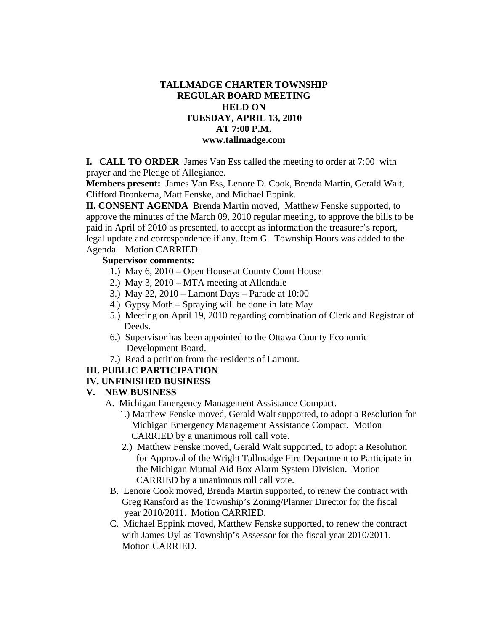# **TALLMADGE CHARTER TOWNSHIP REGULAR BOARD MEETING HELD ON TUESDAY, APRIL 13, 2010 AT 7:00 P.M. www.tallmadge.com**

**I. CALL TO ORDER** James Van Ess called the meeting to order at 7:00 with prayer and the Pledge of Allegiance.

**Members present:** James Van Ess, Lenore D. Cook, Brenda Martin, Gerald Walt, Clifford Bronkema, Matt Fenske, and Michael Eppink.

**II. CONSENT AGENDA** Brenda Martin moved, Matthew Fenske supported, to approve the minutes of the March 09, 2010 regular meeting, to approve the bills to be paid in April of 2010 as presented, to accept as information the treasurer's report, legal update and correspondence if any. Item G. Township Hours was added to the Agenda. Motion CARRIED.

### **Supervisor comments:**

- 1.) May 6, 2010 Open House at County Court House
- 2.) May 3, 2010 MTA meeting at Allendale
- 3.) May 22, 2010 Lamont Days Parade at 10:00
- 4.) Gypsy Moth Spraying will be done in late May
- 5.) Meeting on April 19, 2010 regarding combination of Clerk and Registrar of Deeds.
- 6.) Supervisor has been appointed to the Ottawa County Economic Development Board.
- 7.) Read a petition from the residents of Lamont.

# **III. PUBLIC PARTICIPATION**

# **IV. UNFINISHED BUSINESS**

### **V. NEW BUSINESS**

- A. Michigan Emergency Management Assistance Compact.
	- 1.) Matthew Fenske moved, Gerald Walt supported, to adopt a Resolution for Michigan Emergency Management Assistance Compact. Motion CARRIED by a unanimous roll call vote.
	- 2.) Matthew Fenske moved, Gerald Walt supported, to adopt a Resolution for Approval of the Wright Tallmadge Fire Department to Participate in the Michigan Mutual Aid Box Alarm System Division. Motion CARRIED by a unanimous roll call vote.
- B. Lenore Cook moved, Brenda Martin supported, to renew the contract with Greg Ransford as the Township's Zoning/Planner Director for the fiscal year 2010/2011. Motion CARRIED.
- C. Michael Eppink moved, Matthew Fenske supported, to renew the contract with James Uyl as Township's Assessor for the fiscal year 2010/2011. Motion CARRIED.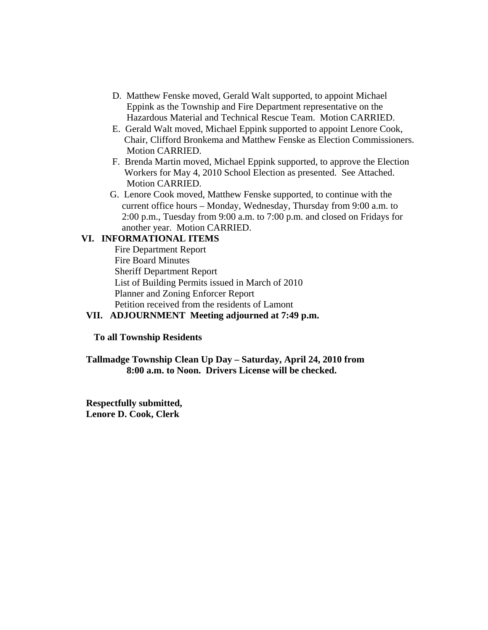- D. Matthew Fenske moved, Gerald Walt supported, to appoint Michael Eppink as the Township and Fire Department representative on the Hazardous Material and Technical Rescue Team. Motion CARRIED.
- E. Gerald Walt moved, Michael Eppink supported to appoint Lenore Cook, Chair, Clifford Bronkema and Matthew Fenske as Election Commissioners. Motion CARRIED.
- F. Brenda Martin moved, Michael Eppink supported, to approve the Election Workers for May 4, 2010 School Election as presented. See Attached. Motion CARRIED.
- G. Lenore Cook moved, Matthew Fenske supported, to continue with the current office hours – Monday, Wednesday, Thursday from 9:00 a.m. to 2:00 p.m., Tuesday from 9:00 a.m. to 7:00 p.m. and closed on Fridays for another year. Motion CARRIED.

#### **VI. INFORMATIONAL ITEMS**

Fire Department Report Fire Board Minutes Sheriff Department Report List of Building Permits issued in March of 2010 Planner and Zoning Enforcer Report Petition received from the residents of Lamont

### **VII. ADJOURNMENT Meeting adjourned at 7:49 p.m.**

#### **To all Township Residents**

**Tallmadge Township Clean Up Day – Saturday, April 24, 2010 from 8:00 a.m. to Noon. Drivers License will be checked.** 

**Respectfully submitted, Lenore D. Cook, Clerk**